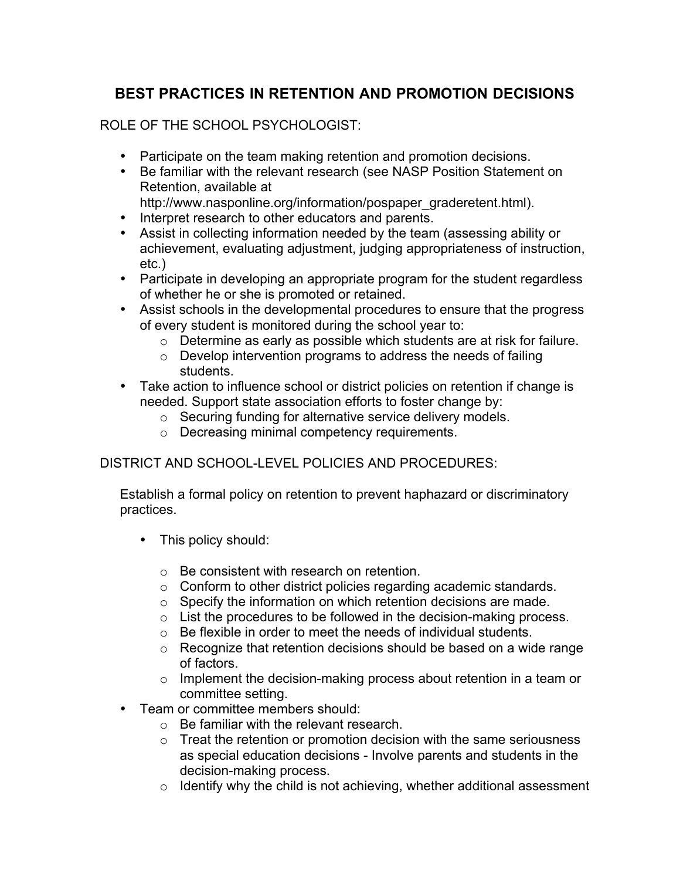# **BEST PRACTICES IN RETENTION AND PROMOTION DECISIONS**

ROLE OF THE SCHOOL PSYCHOLOGIST:

- Participate on the team making retention and promotion decisions.
- Be familiar with the relevant research (see NASP Position Statement on Retention, available at
	- http://www.nasponline.org/information/pospaper\_graderetent.html).
- Interpret research to other educators and parents.
- Assist in collecting information needed by the team (assessing ability or achievement, evaluating adjustment, judging appropriateness of instruction, etc.)
- Participate in developing an appropriate program for the student regardless of whether he or she is promoted or retained.
- Assist schools in the developmental procedures to ensure that the progress of every student is monitored during the school year to:
	- o Determine as early as possible which students are at risk for failure.
	- o Develop intervention programs to address the needs of failing students.
- Take action to influence school or district policies on retention if change is needed. Support state association efforts to foster change by:
	- o Securing funding for alternative service delivery models.
	- o Decreasing minimal competency requirements.

## DISTRICT AND SCHOOL-LEVEL POLICIES AND PROCEDURES:

Establish a formal policy on retention to prevent haphazard or discriminatory practices.

- This policy should:
	- o Be consistent with research on retention.
	- o Conform to other district policies regarding academic standards.
	- o Specify the information on which retention decisions are made.
	- $\circ$  List the procedures to be followed in the decision-making process.
	- $\circ$  Be flexible in order to meet the needs of individual students.
	- o Recognize that retention decisions should be based on a wide range of factors.
	- o Implement the decision-making process about retention in a team or committee setting.
- Team or committee members should:
	- $\circ$  Be familiar with the relevant research.
	- $\circ$  Treat the retention or promotion decision with the same seriousness as special education decisions - Involve parents and students in the decision-making process.
	- $\circ$  Identify why the child is not achieving, whether additional assessment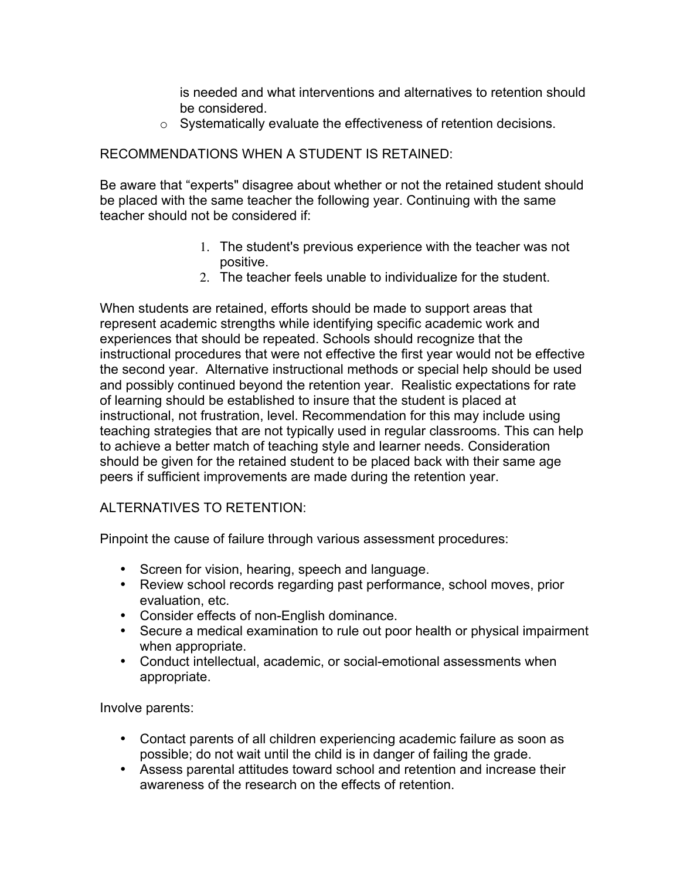is needed and what interventions and alternatives to retention should be considered.

o Systematically evaluate the effectiveness of retention decisions.

## RECOMMENDATIONS WHEN A STUDENT IS RETAINED:

Be aware that "experts" disagree about whether or not the retained student should be placed with the same teacher the following year. Continuing with the same teacher should not be considered if:

- 1. The student's previous experience with the teacher was not positive.
- 2. The teacher feels unable to individualize for the student.

When students are retained, efforts should be made to support areas that represent academic strengths while identifying specific academic work and experiences that should be repeated. Schools should recognize that the instructional procedures that were not effective the first year would not be effective the second year. Alternative instructional methods or special help should be used and possibly continued beyond the retention year. Realistic expectations for rate of learning should be established to insure that the student is placed at instructional, not frustration, level. Recommendation for this may include using teaching strategies that are not typically used in regular classrooms. This can help to achieve a better match of teaching style and learner needs. Consideration should be given for the retained student to be placed back with their same age peers if sufficient improvements are made during the retention year.

### ALTERNATIVES TO RETENTION:

Pinpoint the cause of failure through various assessment procedures:

- Screen for vision, hearing, speech and language.
- Review school records regarding past performance, school moves, prior evaluation, etc.
- Consider effects of non-English dominance.
- Secure a medical examination to rule out poor health or physical impairment when appropriate.
- Conduct intellectual, academic, or social-emotional assessments when appropriate.

Involve parents:

- Contact parents of all children experiencing academic failure as soon as possible; do not wait until the child is in danger of failing the grade.
- Assess parental attitudes toward school and retention and increase their awareness of the research on the effects of retention.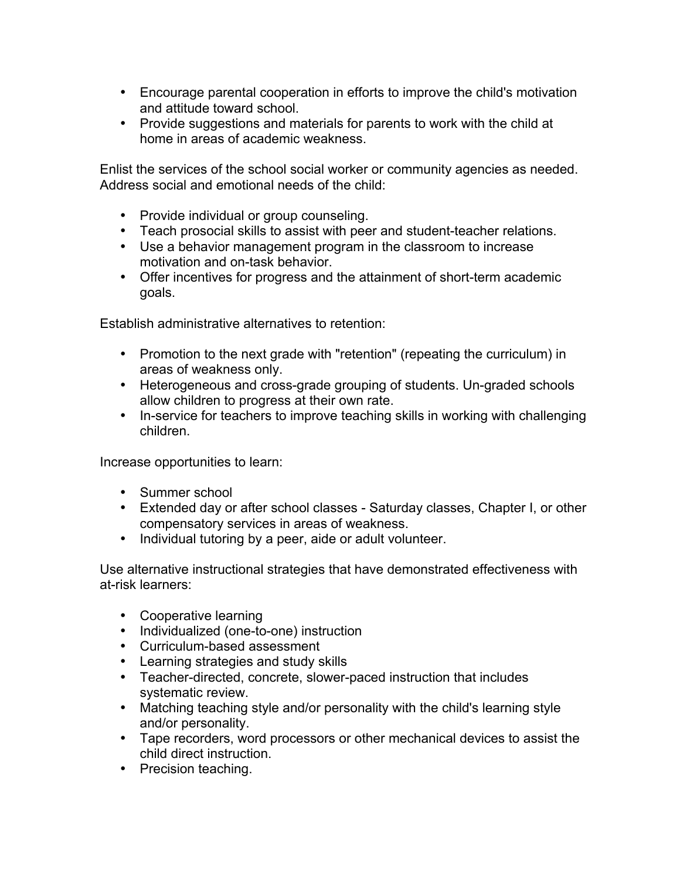- Encourage parental cooperation in efforts to improve the child's motivation and attitude toward school.
- Provide suggestions and materials for parents to work with the child at home in areas of academic weakness.

Enlist the services of the school social worker or community agencies as needed. Address social and emotional needs of the child:

- Provide individual or group counseling.
- Teach prosocial skills to assist with peer and student-teacher relations.
- Use a behavior management program in the classroom to increase motivation and on-task behavior.
- Offer incentives for progress and the attainment of short-term academic goals.

Establish administrative alternatives to retention:

- Promotion to the next grade with "retention" (repeating the curriculum) in areas of weakness only.
- Heterogeneous and cross-grade grouping of students. Un-graded schools allow children to progress at their own rate.
- In-service for teachers to improve teaching skills in working with challenging children.

Increase opportunities to learn:

- Summer school
- Extended day or after school classes Saturday classes, Chapter I, or other compensatory services in areas of weakness.
- Individual tutoring by a peer, aide or adult volunteer.

Use alternative instructional strategies that have demonstrated effectiveness with at-risk learners:

- Cooperative learning
- Individualized (one-to-one) instruction
- Curriculum-based assessment
- Learning strategies and study skills
- Teacher-directed, concrete, slower-paced instruction that includes systematic review.
- Matching teaching style and/or personality with the child's learning style and/or personality.
- Tape recorders, word processors or other mechanical devices to assist the child direct instruction.
- Precision teaching.